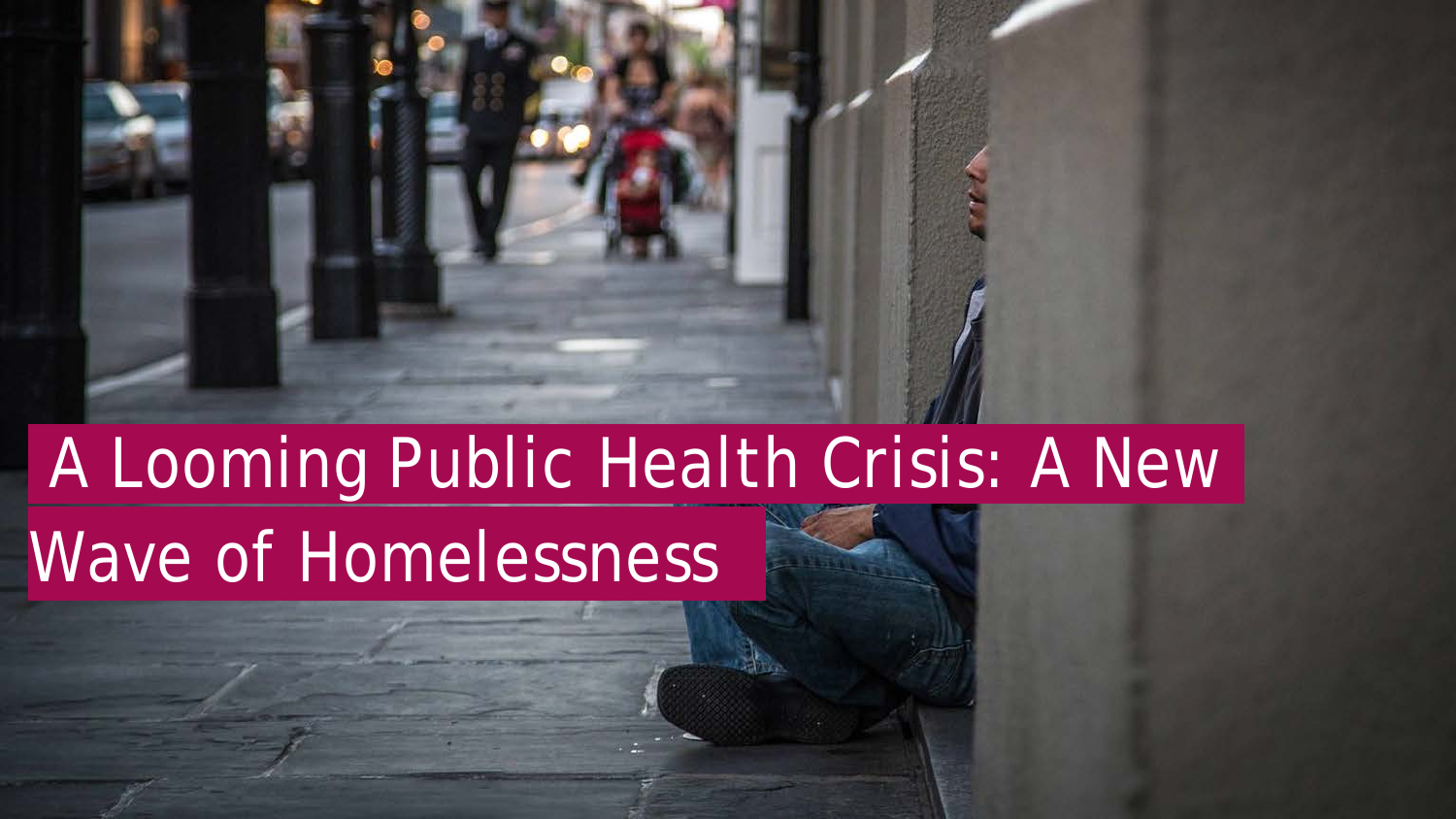## A Looming Public Health Crisis: A New Wave of Homelessness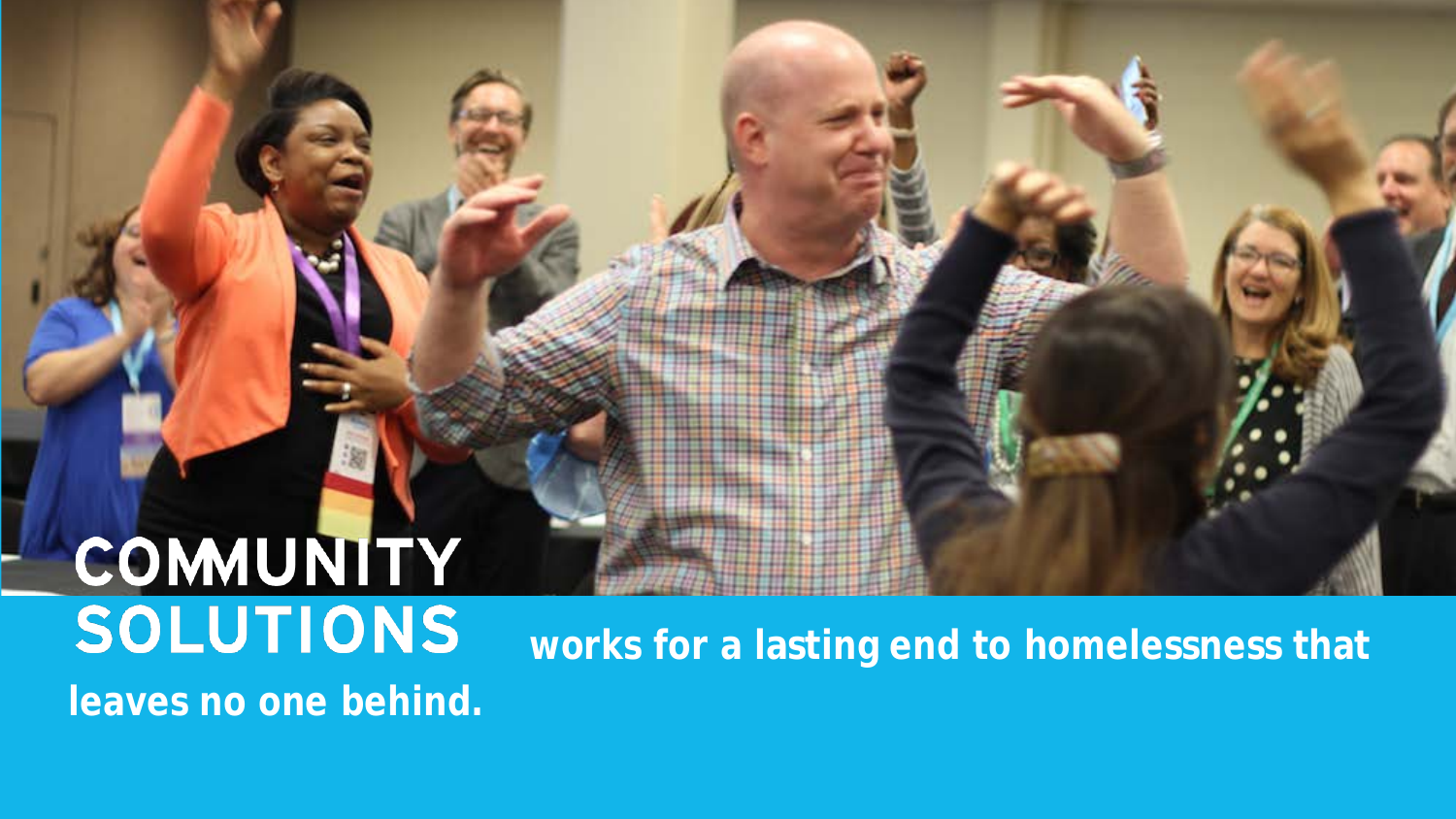# **COMMUNITY**<br>SOLUTIONS **leaves no one behind.**

**works for a lasting end to homelessness that**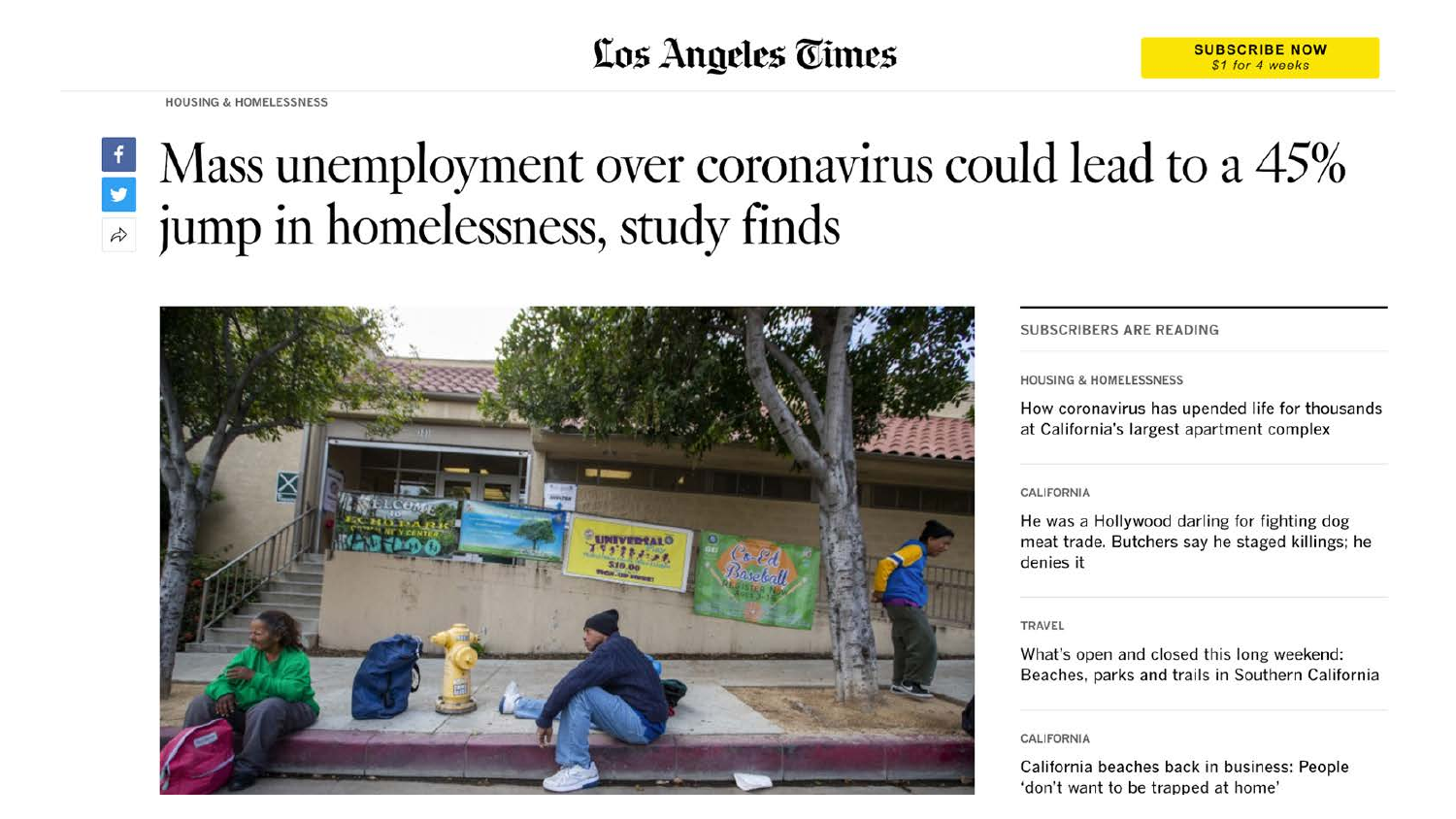#### Los Angeles Times

**HOUSING & HOMELESSNESS** 

#### $\frac{1}{2}$  Mass unemployment over coronavirus could lead to a 45% jump in homelessness, study finds



#### SUBSCRIBERS ARE READING

#### **HOUSING & HOMELESSNESS**

How coronavirus has upended life for thousands at California's largest apartment complex

#### CALIFORNIA

He was a Hollywood darling for fighting dog meat trade. Butchers say he staged killings; he denies it

#### TRAVEL

What's open and closed this long weekend: Beaches, parks and trails in Southern California

#### CALIFORNIA

California beaches back in business: People 'don't want to be trapped at home'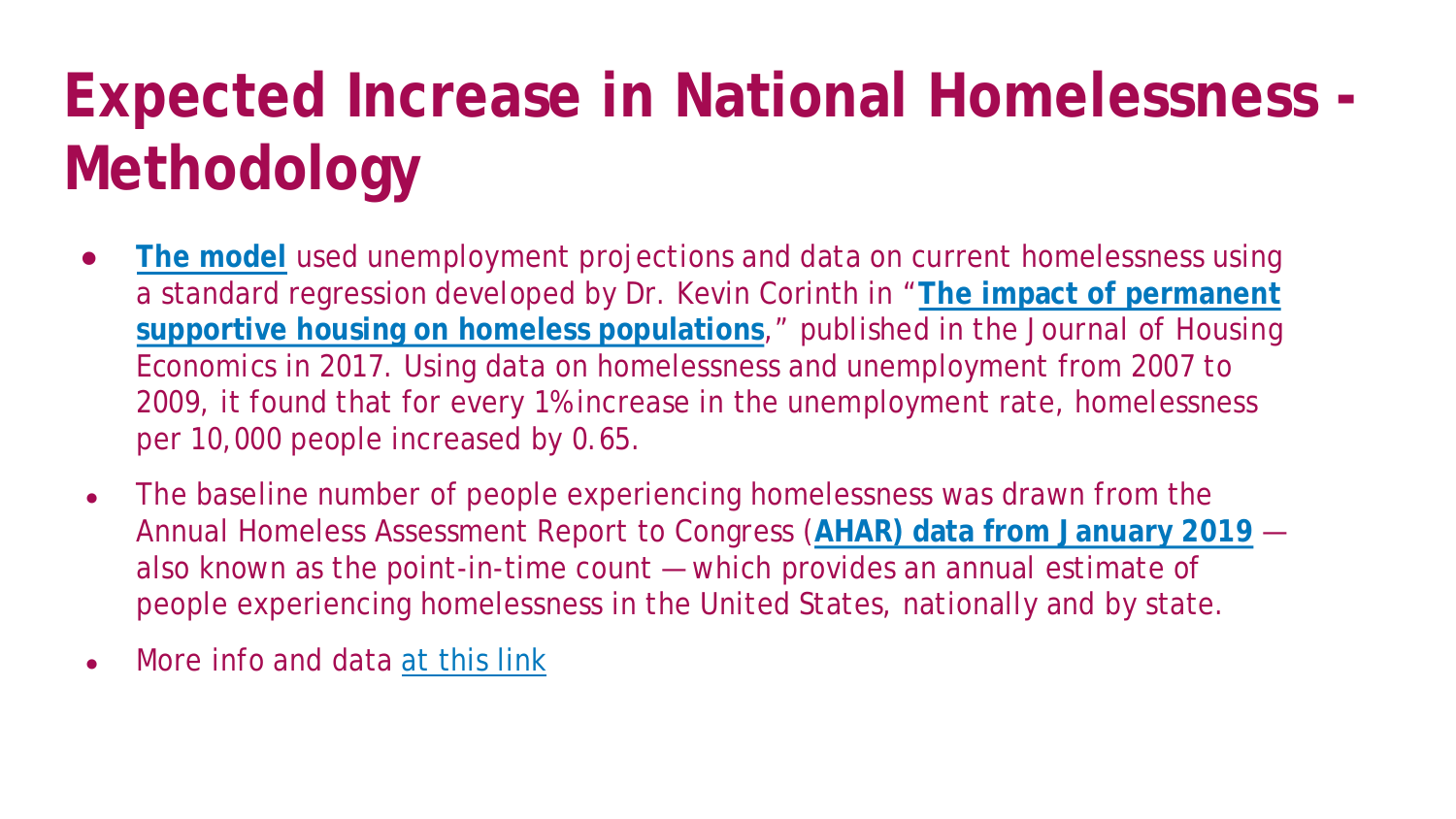## **Expected Increase in National Homelessness - Methodology**

- **[The model](https://community.solutions/wp-content/uploads/2020/05/Homeless-projection-COVID.xlsx)** used unemployment projections and data on current homelessness using [a standard regression developed by Dr. Kevin Corinth in "](https://www.sciencedirect.com/science/article/abs/pii/S1051137715300474)**The impact of permanent supportive housing on homeless populations**," published in the *Journal of Housing Economics* in 2017. Using data on homelessness and unemployment from 2007 to 2009, it found that for every 1% increase in the unemployment rate, homelessness per 10,000 people increased by 0.65.
- The baseline number of people experiencing homelessness was drawn from the Annual Homeless Assessment Report to Congress (**[AHAR\) data from January 2019](https://www.hudexchange.info/resource/5948/2019-ahar-part-1-pit-estimates-of-homelessness-in-the-us/)** also known as the point-in-time count — which provides an annual estimate of people experiencing homelessness in the United States, nationally and by state.
- More info and data [at this link](https://community.solutions/analysis-on-unemployment-projects-40-45-increase-in-homelessness-this-year/)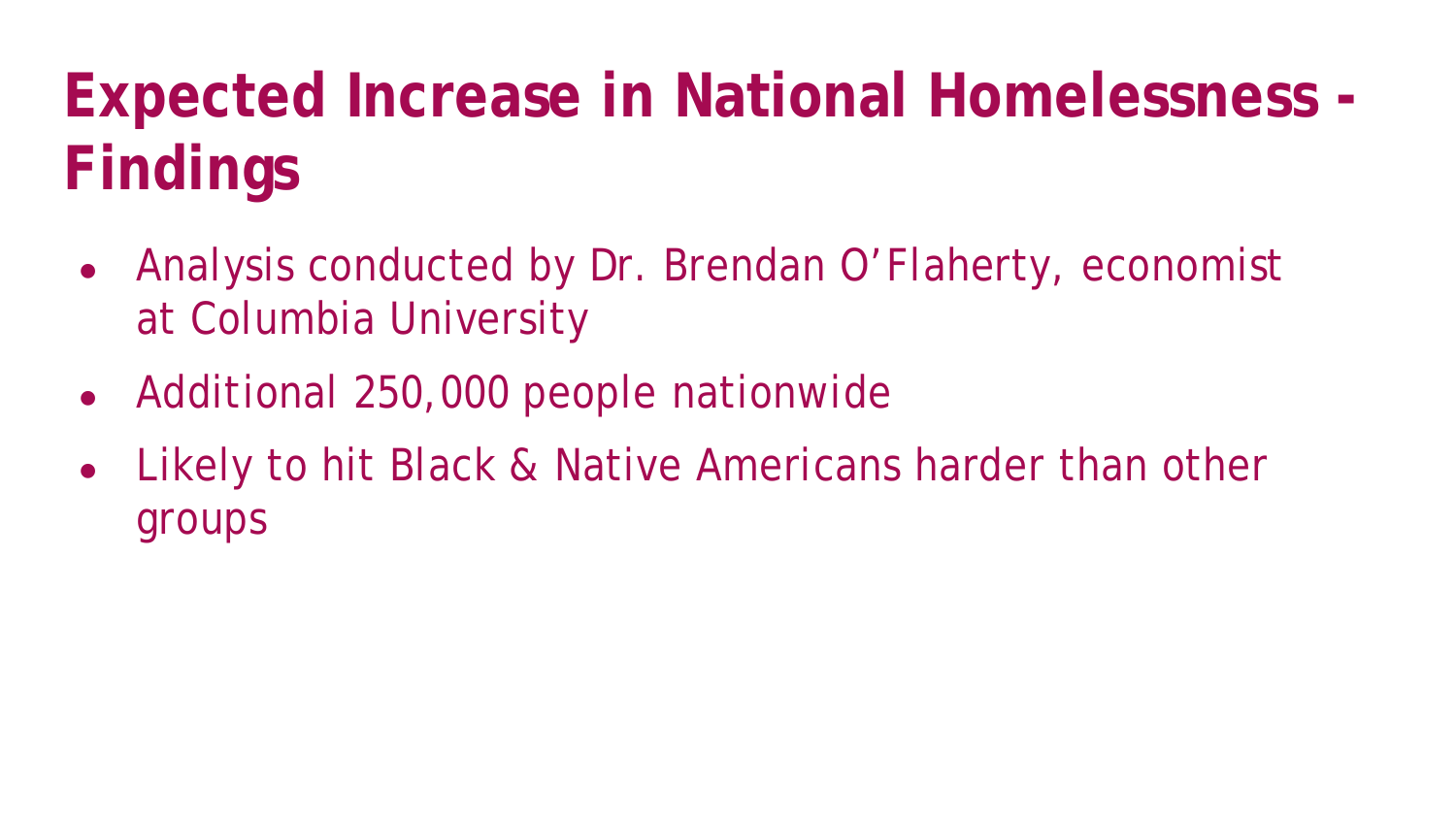## **Expected Increase in National Homelessness - Findings**

- Analysis conducted by Dr. Brendan O'Flaherty, economist at Columbia University
- Additional 250,000 people nationwide
- Likely to hit Black & Native Americans harder than other groups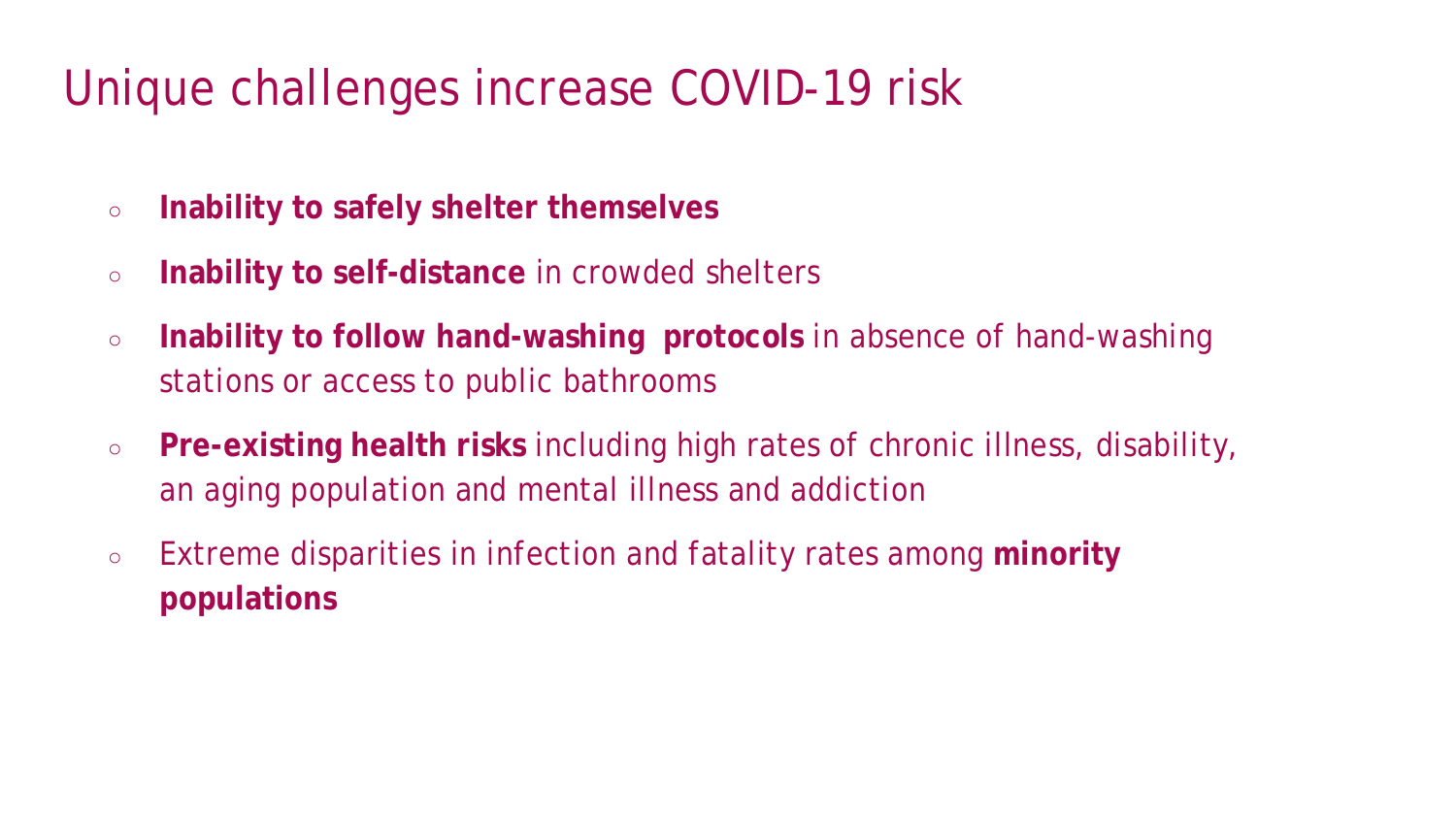### Unique challenges increase COVID-19 risk

- **Inability to safely shelter themselves**
- **Inability to self-distance** in crowded shelters
- **Inability to follow hand-washing protocols** in absence of hand-washing stations or access to public bathrooms
- **Pre-existing health risks** including high rates of chronic illness, disability, an aging population and mental illness and addiction
- Extreme disparities in infection and fatality rates among **minority populations**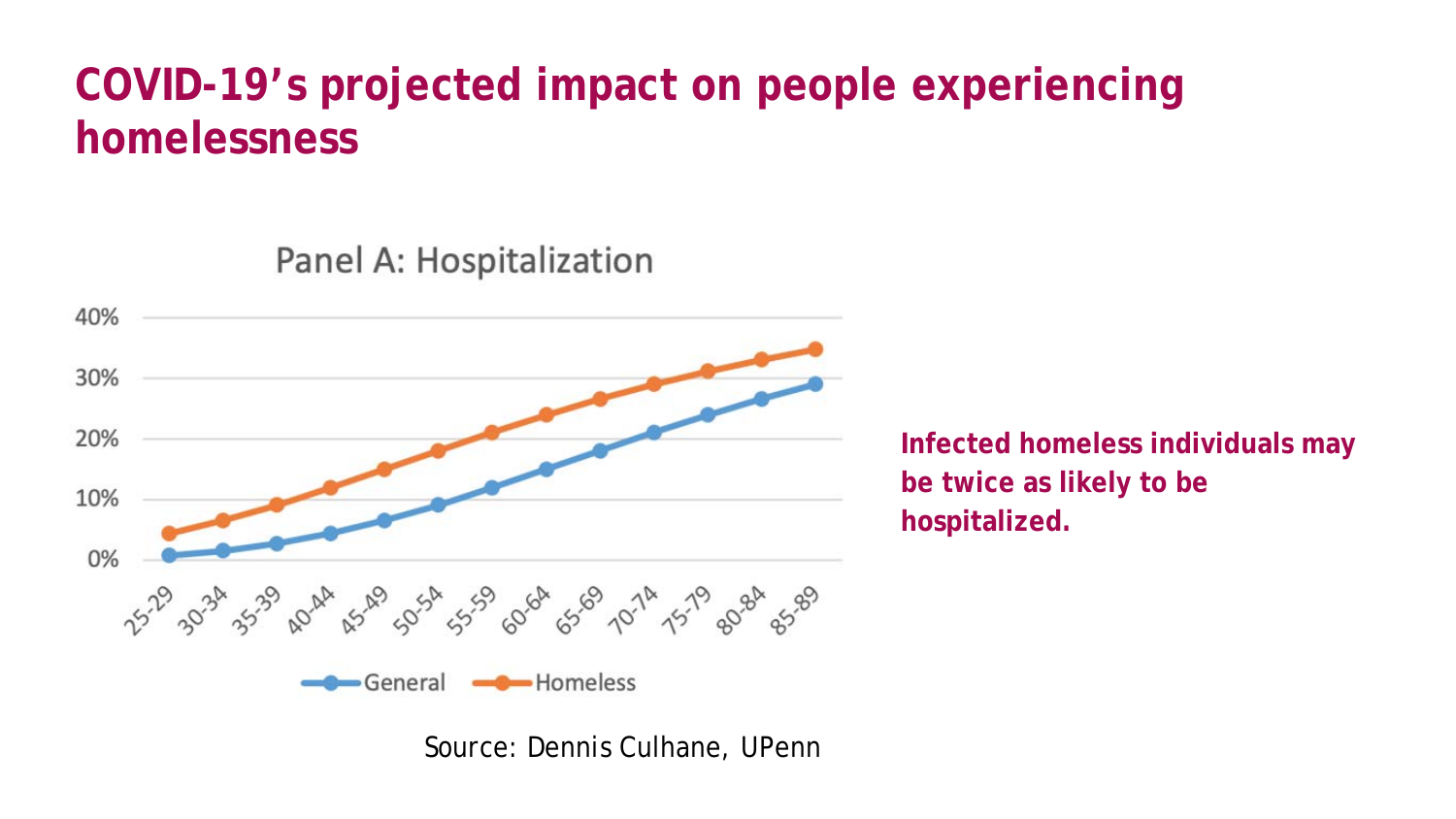### **COVID-19's projected impact on people experiencing homelessness**

Panel A: Hospitalization



**Infected homeless individuals may be twice as likely to be hospitalized.** 

Source: Dennis Culhane, UPenn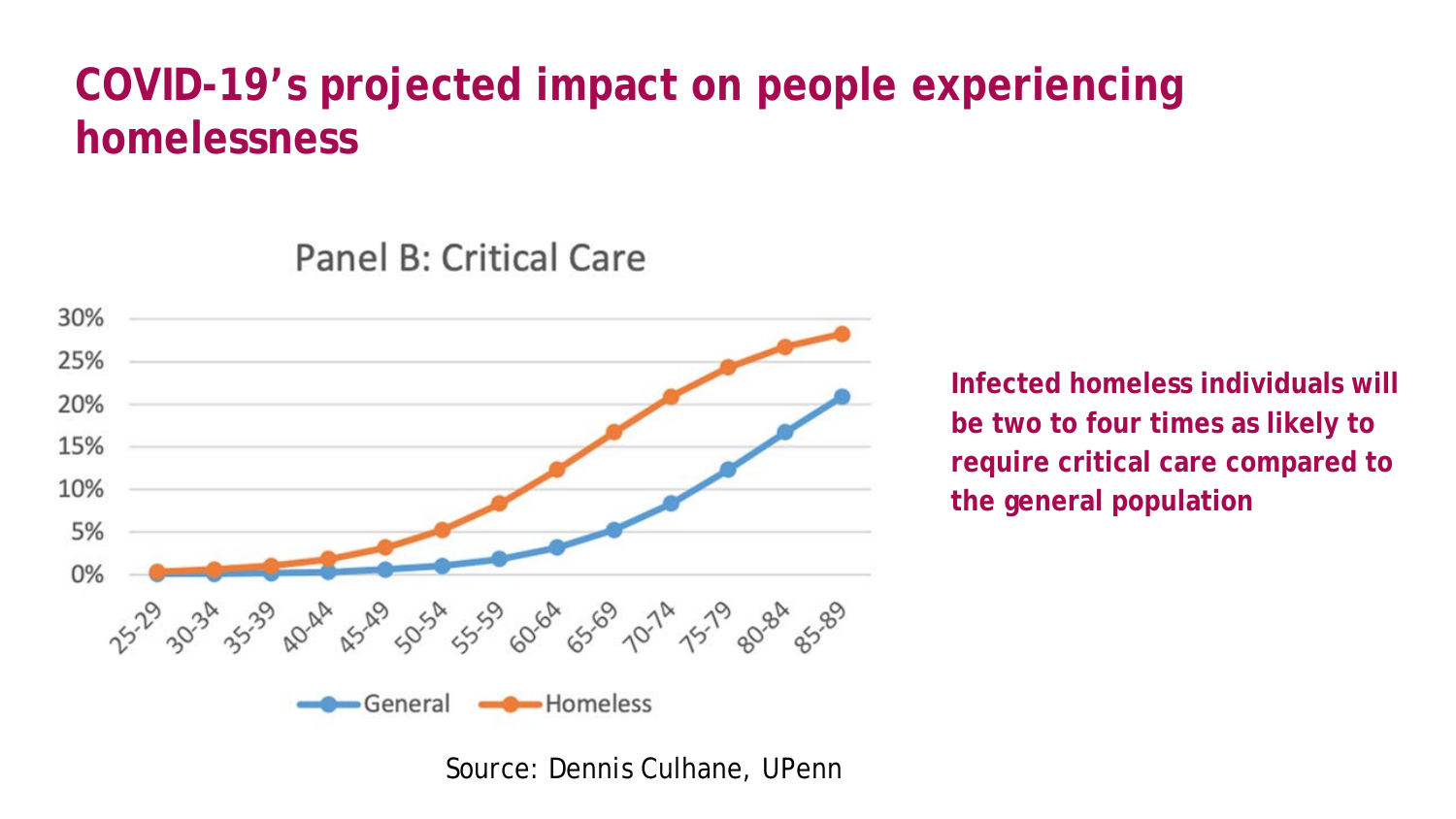### **COVID-19's projected impact on people experiencing homelessness**

Panel B: Critical Care



**Infected homeless individuals will be two to four times as likely to require critical care compared to the general population** 

Source: Dennis Culhane, UPenn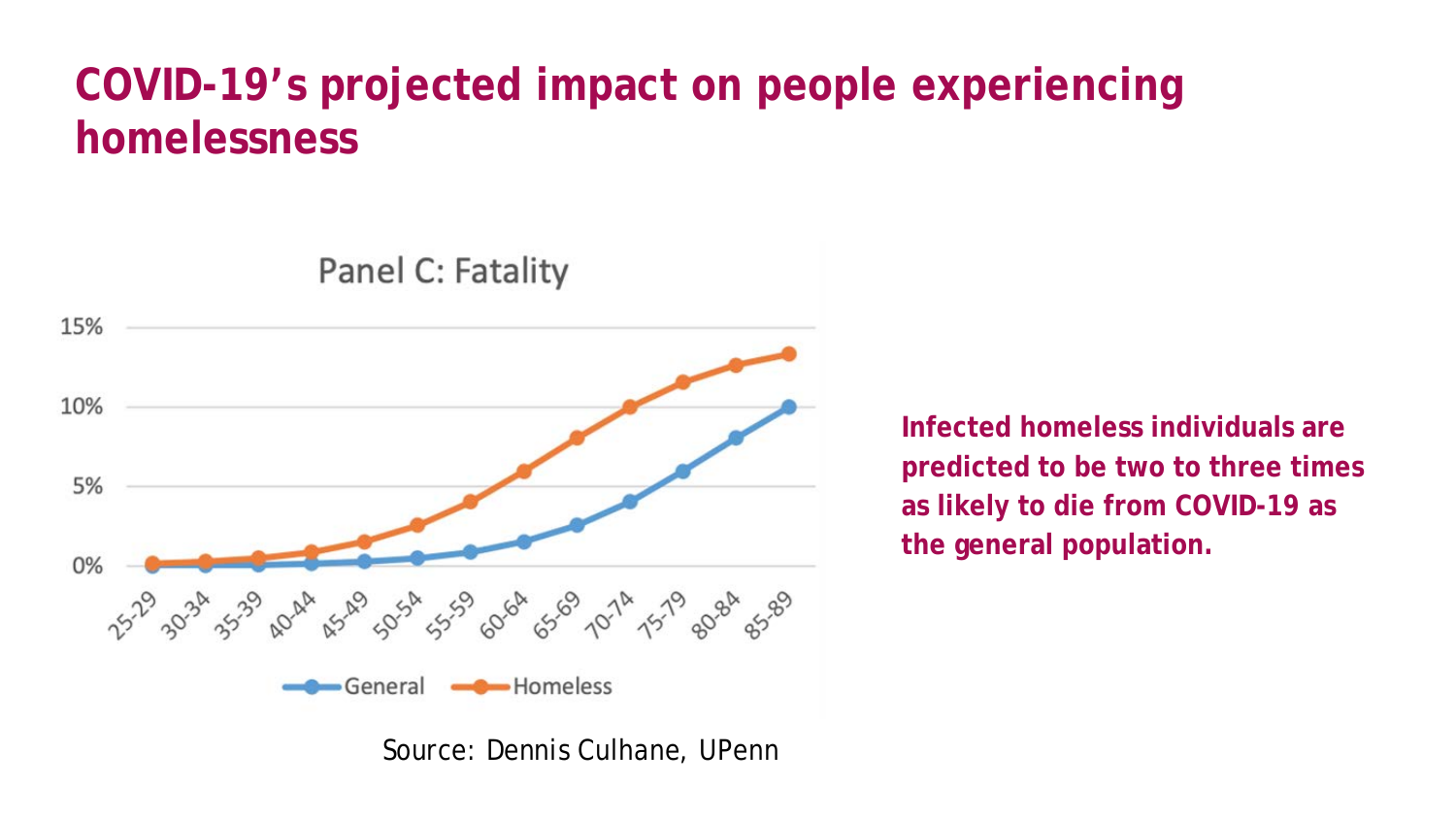### **COVID-19's projected impact on people experiencing homelessness**



Panel C: Fatality

**Infected homeless individuals are predicted to be two to three times as likely to die from COVID-19 as the general population.** 

Source: Dennis Culhane, UPenn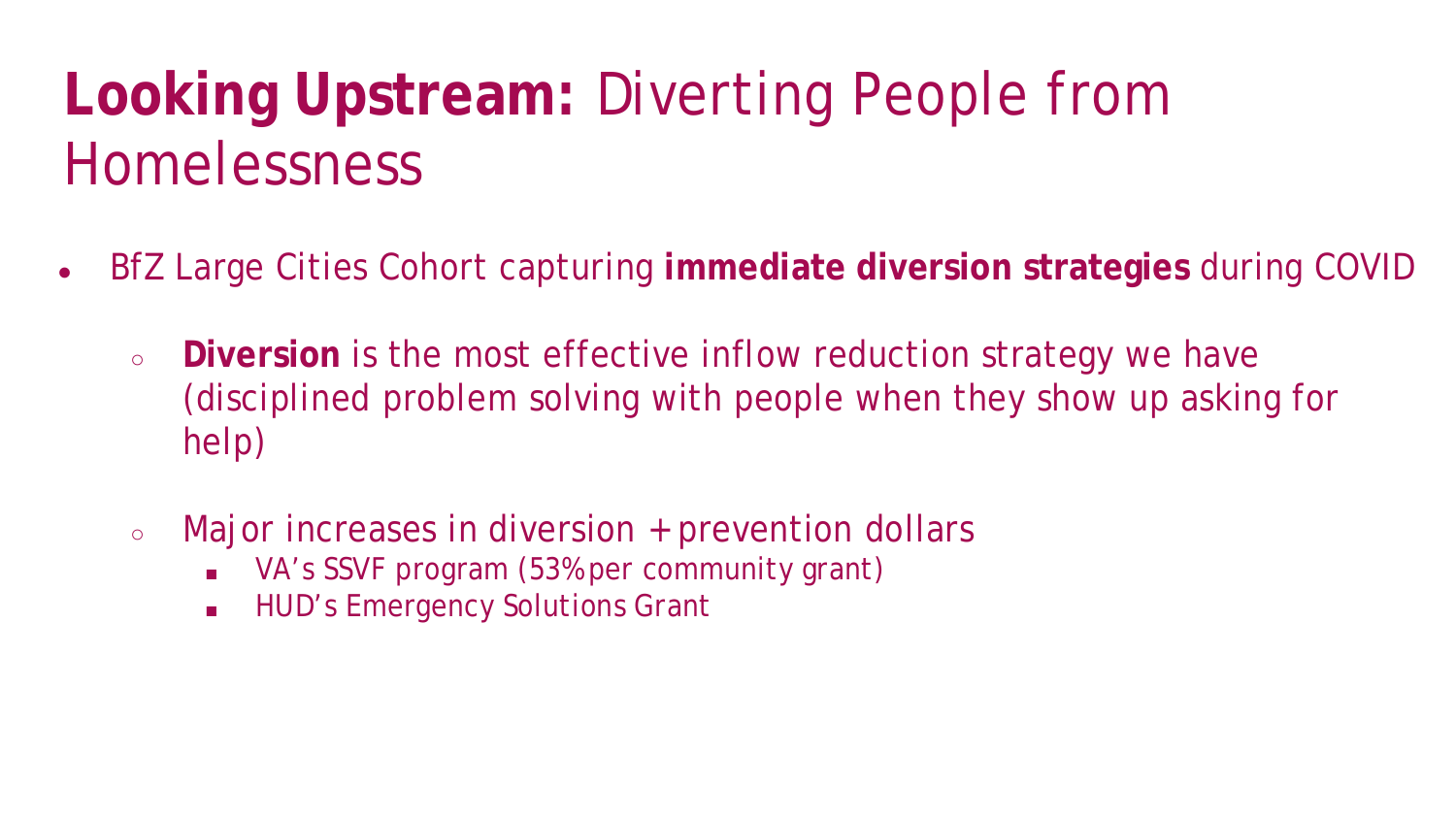### **Looking Upstream:** Diverting People from **Homelessness**

- BfZ Large Cities Cohort capturing **immediate diversion strategies** during COVID
	- **Diversion** is the most effective inflow reduction strategy we have (disciplined problem solving with people *when* they show up asking for help)
	- Major increases in diversion + prevention dollars
		- VA's SSVF program (53% per community grant)
		- **HUD's Emergency Solutions Grant**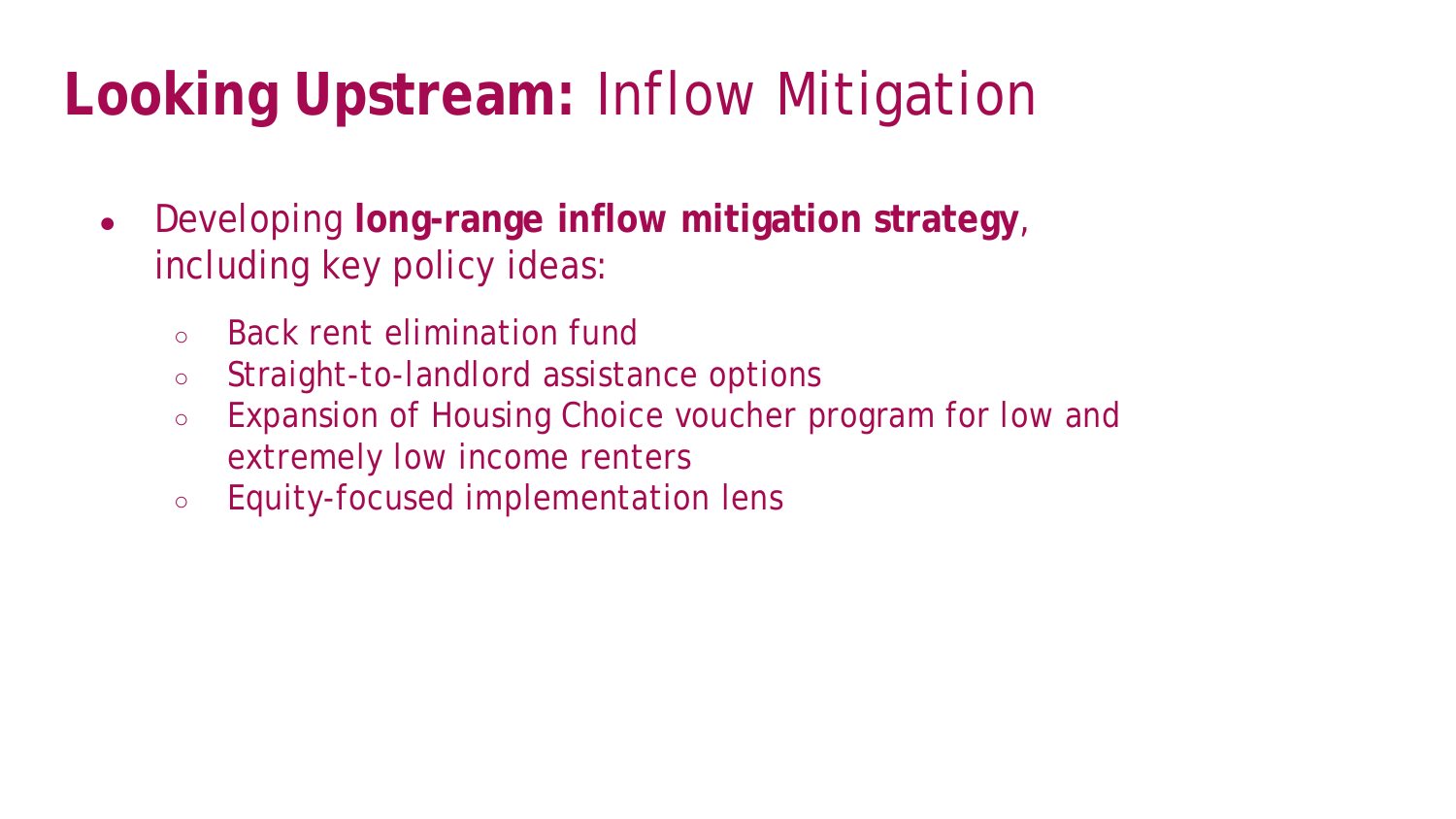### **Looking Upstream:** Inflow Mitigation

- Developing **long-range inflow mitigation strategy**, including key policy ideas:
	- Back rent elimination fund
	- Straight-to-landlord assistance options
	- Expansion of Housing Choice voucher program for low and extremely low income renters
	- Equity-focused implementation lens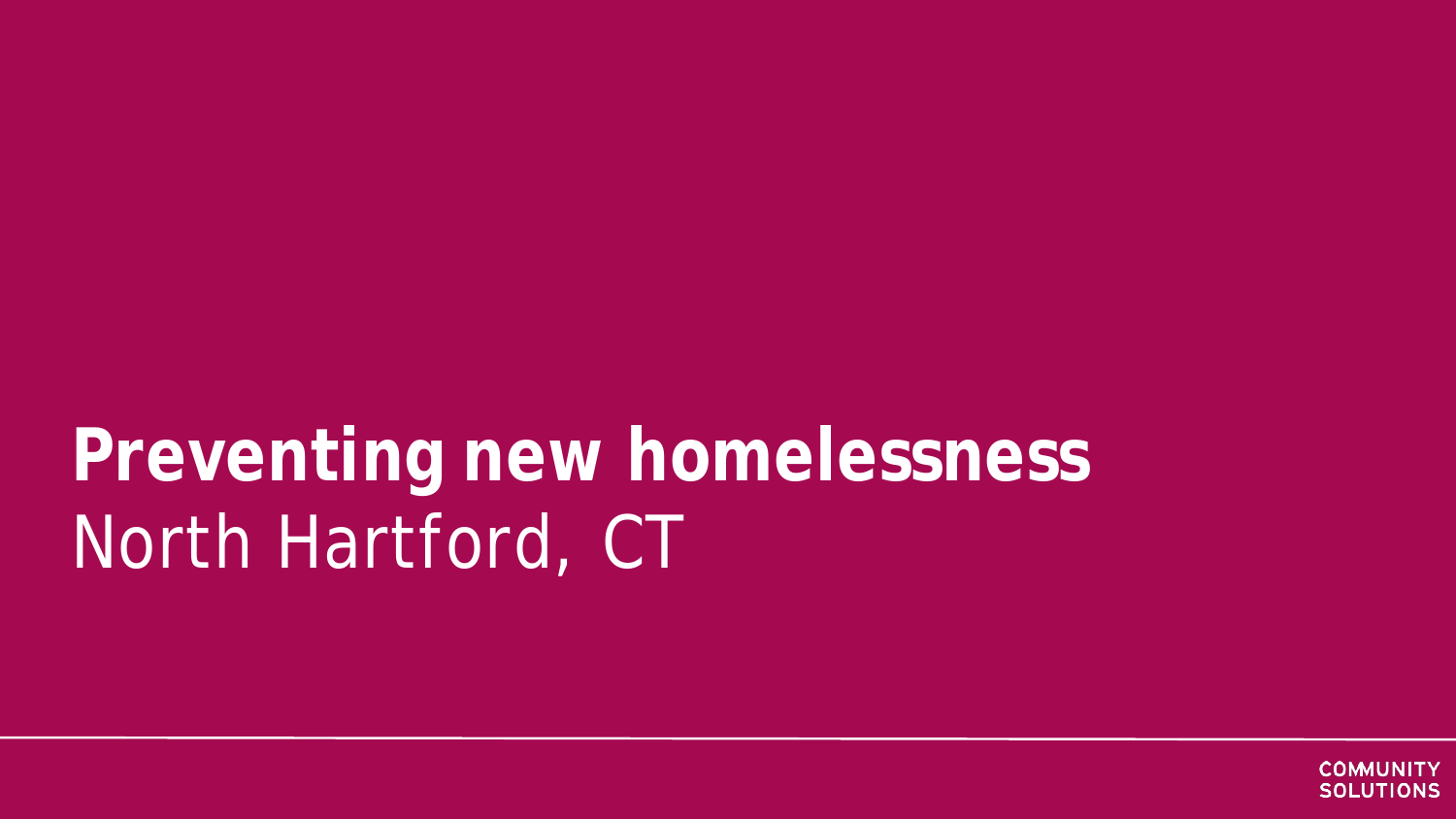## **Preventing new homelessness** North Hartford, CT

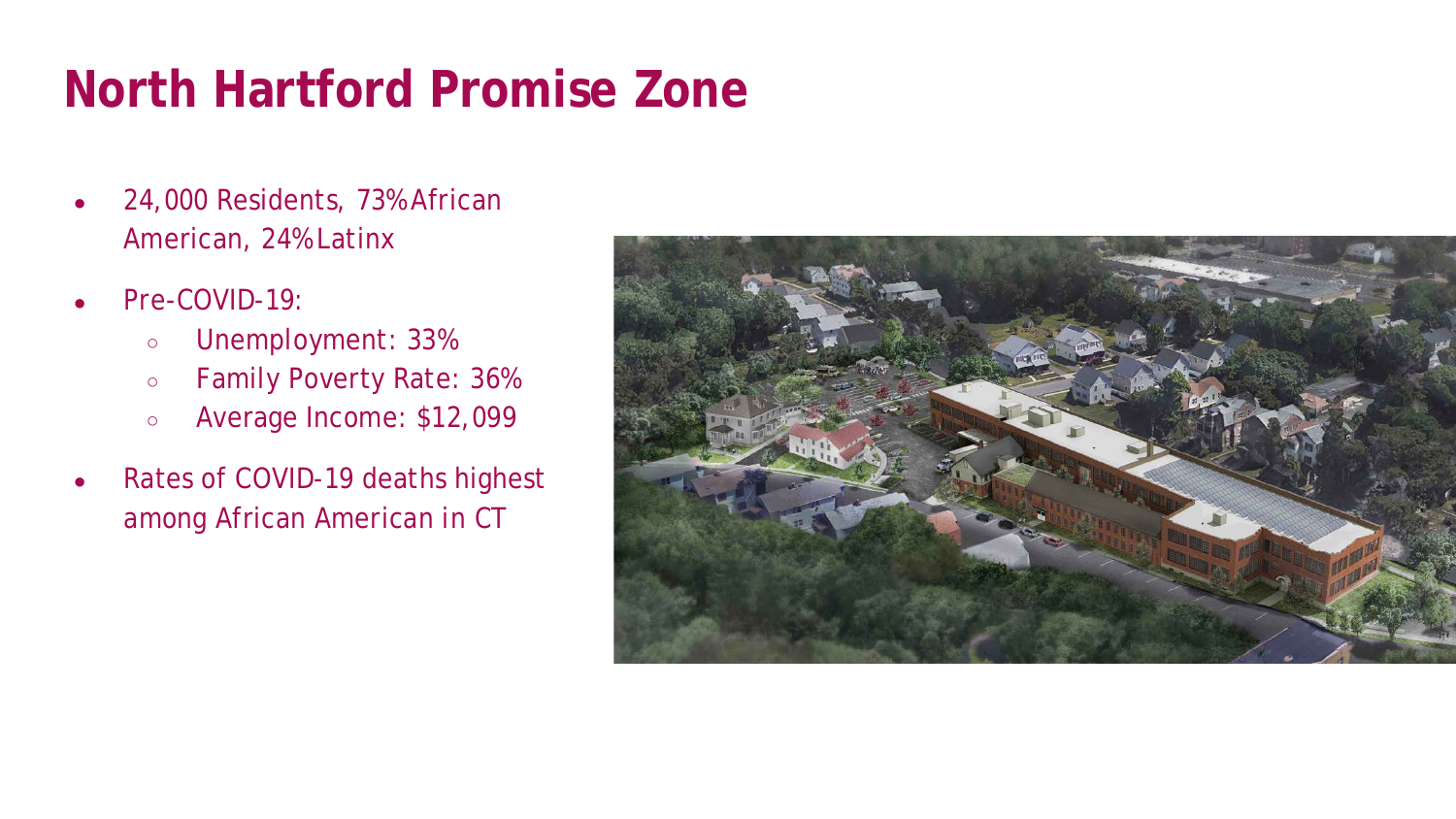### **North Hartford Promise Zone**

- 24,000 Residents, 73% African American, 24% Latinx
- Pre-COVID-19:
	- Unemployment: 33%
	- Family Poverty Rate: 36%
	- Average Income: \$12,099
- Rates of COVID-19 deaths highest among African American in CT

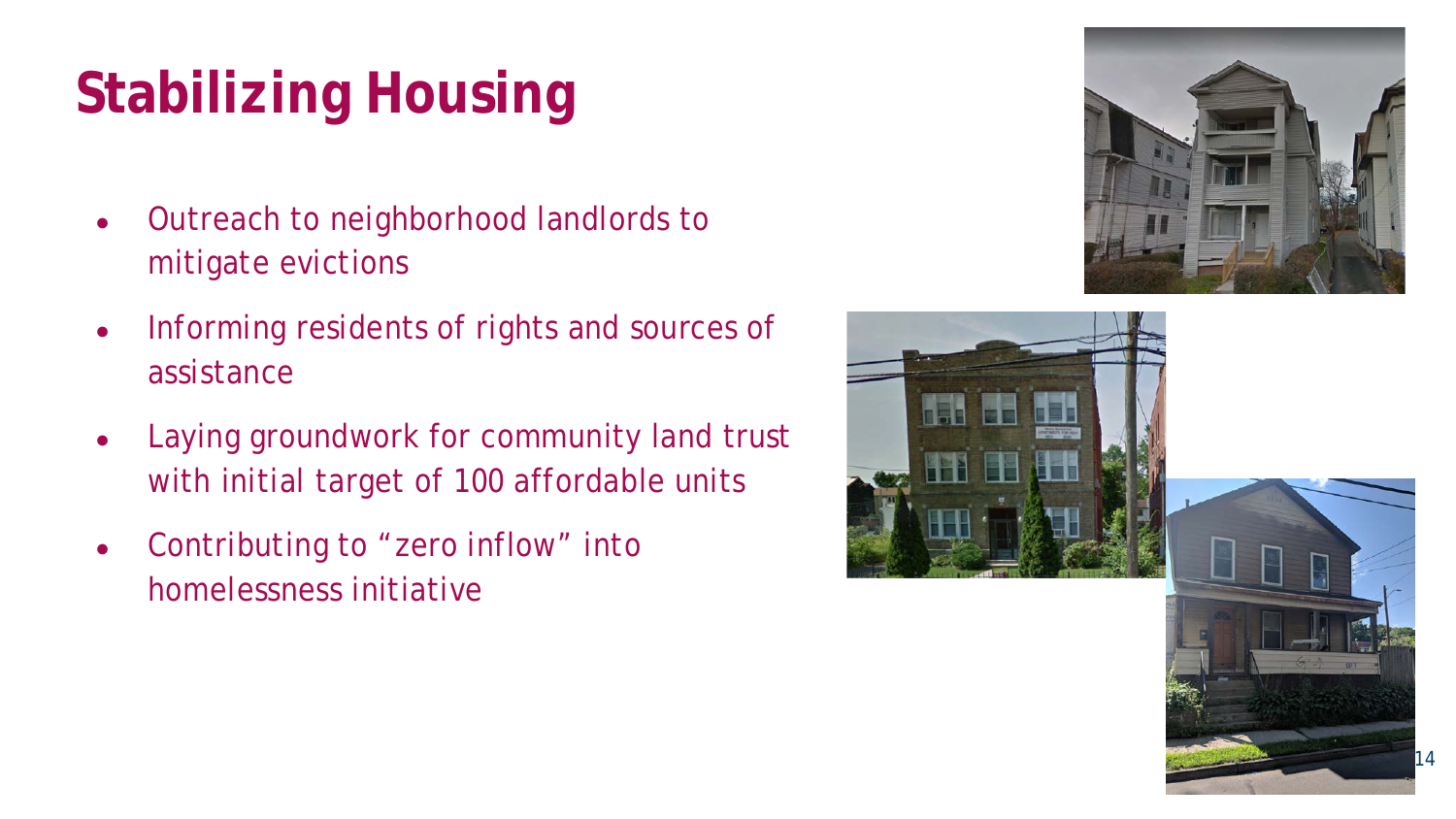### **Stabilizing Housing**

- Outreach to neighborhood landlords to mitigate evictions
- Informing residents of rights and sources of assistance
- Laying groundwork for community land trust with initial target of 100 affordable units
- Contributing to "zero inflow" into homelessness initiative

![](_page_13_Picture_5.jpeg)

![](_page_13_Picture_6.jpeg)

![](_page_13_Picture_7.jpeg)

14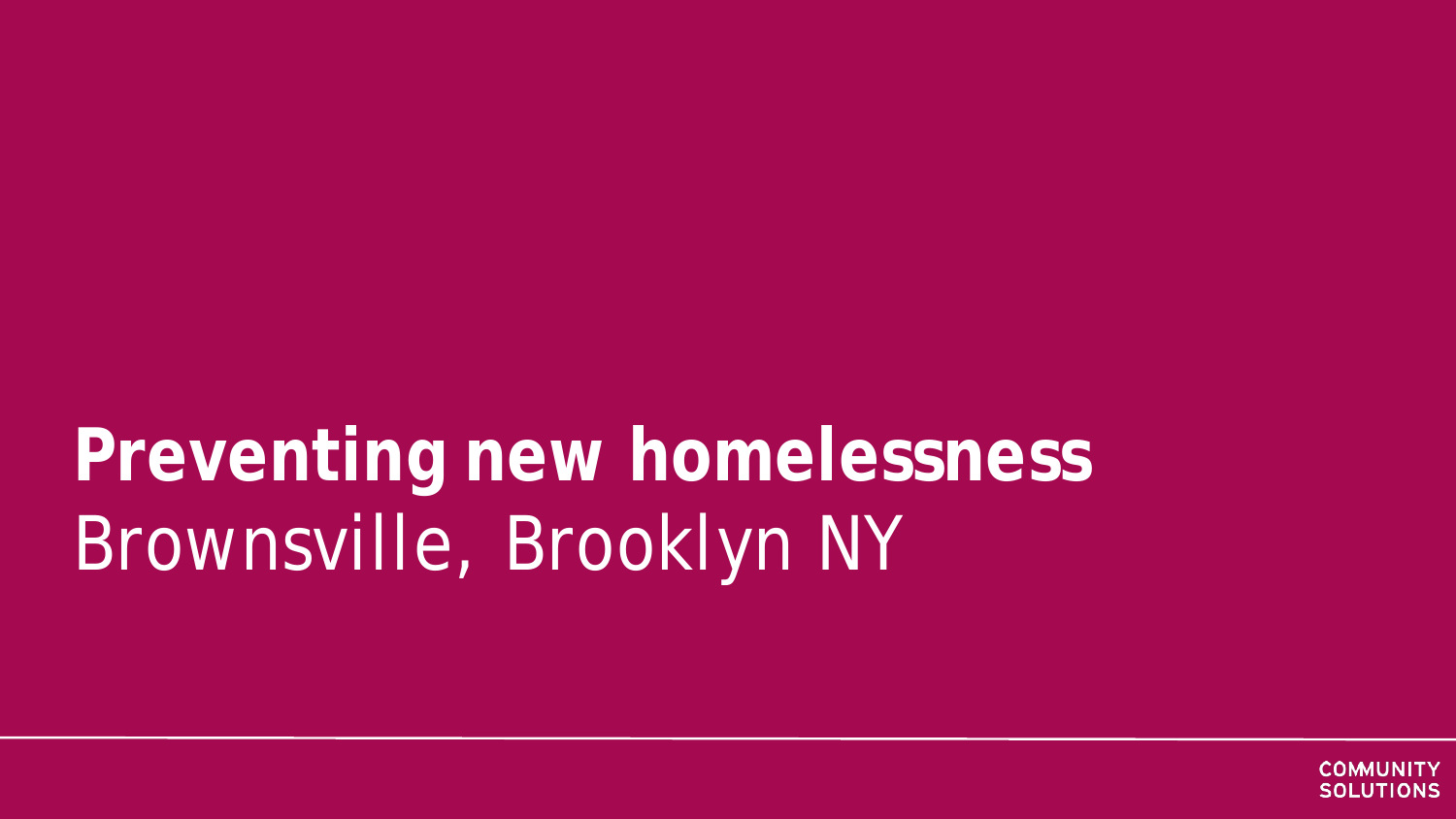## **Preventing new homelessness** Brownsville, Brooklyn NY

![](_page_14_Picture_1.jpeg)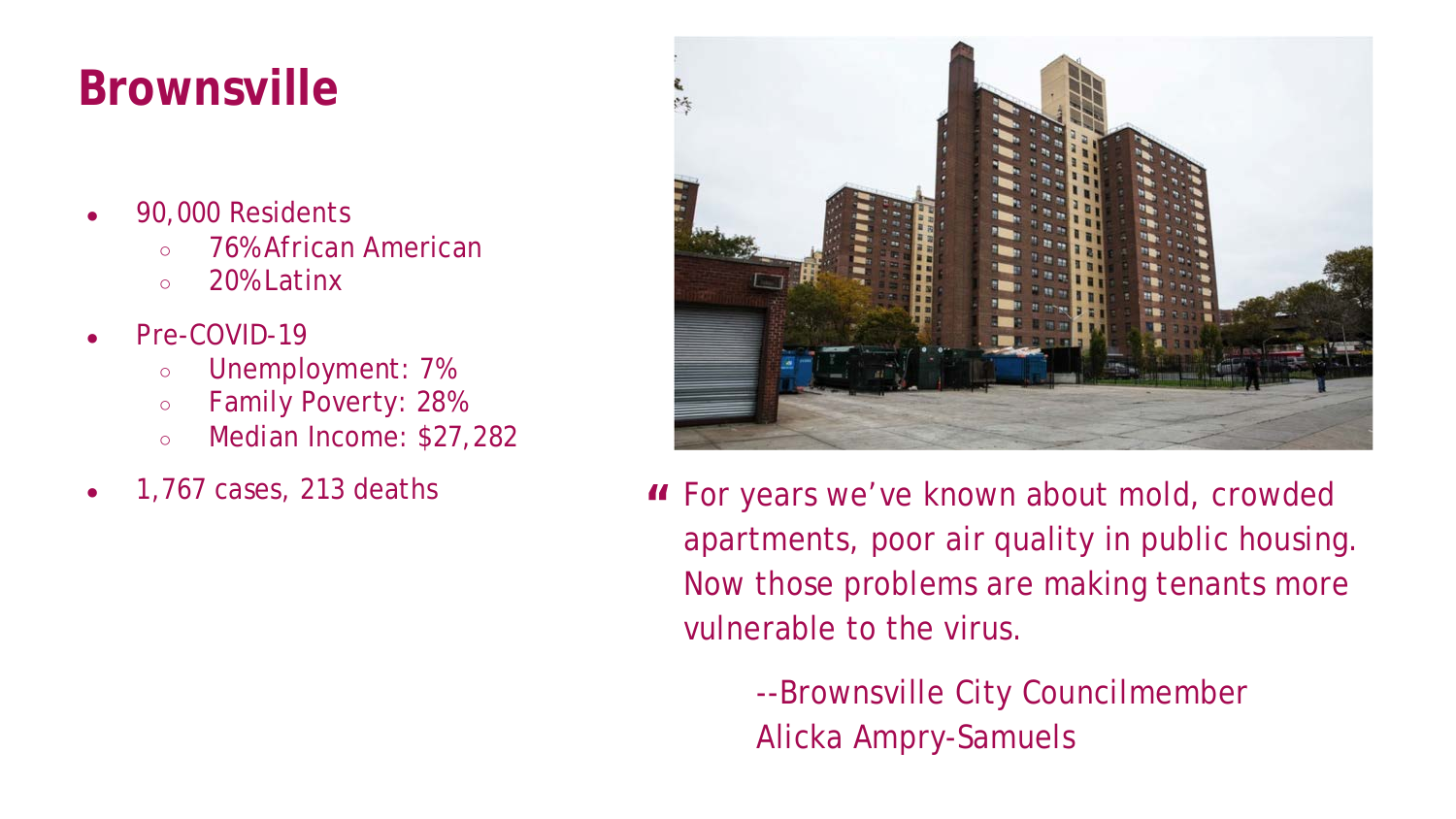### **Brownsville**

- 90,000 Residents
	- 76% African American
	- 20% Latinx
- Pre-COVID-19
	- Unemployment: 7%
	- Family Poverty: 28%
	- Median Income: \$27,282
- 1,767 cases, 213 deaths **"**

![](_page_15_Picture_9.jpeg)

For years we've known about mold, crowded apartments, poor air quality in public housing. Now those problems are making tenants more vulnerable to the virus.

> --Brownsville City Councilmember Alicka Ampry-Samuels